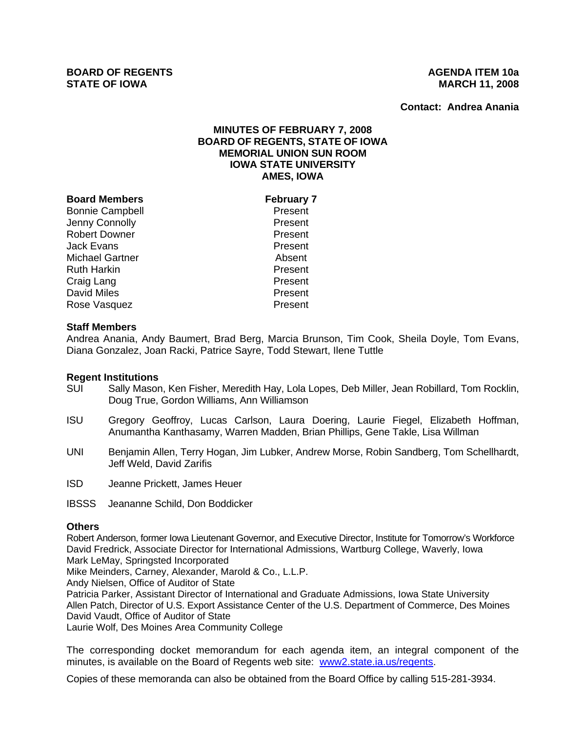**Contact: Andrea Anania**

# **MINUTES OF FEBRUARY 7, 2008 BOARD OF REGENTS, STATE OF IOWA MEMORIAL UNION SUN ROOM IOWA STATE UNIVERSITY AMES, IOWA**

### **Board Members February 7**

Bonnie Campbell **Present** Jenny Connolly **Present**<br>Robert Downer **Present** Present Robert Downer Jack Evans Present Michael Gartner **Absent** Ruth Harkin **Present** Craig Lang **Present** David Miles **Present** Rose Vasquez **Present** 

## **Staff Members**

Andrea Anania, Andy Baumert, Brad Berg, Marcia Brunson, Tim Cook, Sheila Doyle, Tom Evans, Diana Gonzalez, Joan Racki, Patrice Sayre, Todd Stewart, Ilene Tuttle

#### **Regent Institutions**

- SUI Sally Mason, Ken Fisher, Meredith Hay, Lola Lopes, Deb Miller, Jean Robillard, Tom Rocklin, Doug True, Gordon Williams, Ann Williamson
- ISU Gregory Geoffroy, Lucas Carlson, Laura Doering, Laurie Fiegel, Elizabeth Hoffman, Anumantha Kanthasamy, Warren Madden, Brian Phillips, Gene Takle, Lisa Willman
- UNI Benjamin Allen, Terry Hogan, Jim Lubker, Andrew Morse, Robin Sandberg, Tom Schellhardt, Jeff Weld, David Zarifis
- ISD Jeanne Prickett, James Heuer
- IBSSS Jeananne Schild, Don Boddicker

#### **Others**

Robert Anderson, former Iowa Lieutenant Governor, and Executive Director, Institute for Tomorrow's Workforce David Fredrick, Associate Director for International Admissions, Wartburg College, Waverly, Iowa Mark LeMay, Springsted Incorporated

Mike Meinders, Carney, Alexander, Marold & Co., L.L.P.

Andy Nielsen, Office of Auditor of State

Patricia Parker, Assistant Director of International and Graduate Admissions, Iowa State University Allen Patch, Director of U.S. Export Assistance Center of the U.S. Department of Commerce, Des Moines David Vaudt, Office of Auditor of State

Laurie Wolf, Des Moines Area Community College

The corresponding docket memorandum for each agenda item, an integral component of the minutes, is available on the Board of Regents web site: www2.state.ia.us/regents.

Copies of these memoranda can also be obtained from the Board Office by calling 515-281-3934.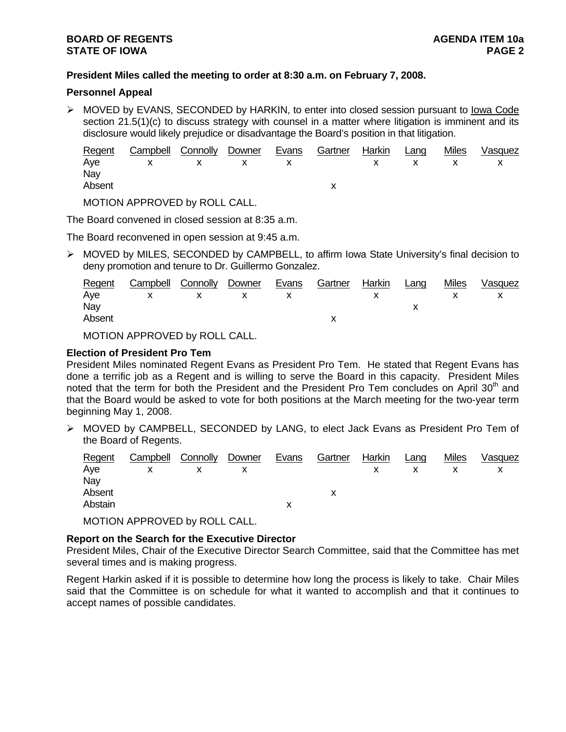## **President Miles called the meeting to order at 8:30 a.m. on February 7, 2008.**

## **Personnel Appeal**

¾ MOVED by EVANS, SECONDED by HARKIN, to enter into closed session pursuant to Iowa Code section 21.5(1)(c) to discuss strategy with counsel in a matter where litigation is imminent and its disclosure would likely prejudice or disadvantage the Board's position in that litigation.

| Regent Campbell Connolly Downer Evans Gartner Harkin Lang |  |  |  | Miles | Vasquez |
|-----------------------------------------------------------|--|--|--|-------|---------|
| Aye x x x x x x x x x                                     |  |  |  |       |         |
| Nay                                                       |  |  |  |       |         |
| Absent                                                    |  |  |  |       |         |

MOTION APPROVED by ROLL CALL.

The Board convened in closed session at 8:35 a.m.

The Board reconvened in open session at 9:45 a.m.

¾ MOVED by MILES, SECONDED by CAMPBELL, to affirm Iowa State University's final decision to deny promotion and tenure to Dr. Guillermo Gonzalez.

|        | Regent Campbell Connolly Downer Evans Gartner Harkin Lang |  |  |  | Miles | Vasquez |
|--------|-----------------------------------------------------------|--|--|--|-------|---------|
|        | Aye x x x x x x x                                         |  |  |  |       |         |
| Nay    |                                                           |  |  |  |       |         |
| Absent |                                                           |  |  |  |       |         |
|        |                                                           |  |  |  |       |         |

MOTION APPROVED by ROLL CALL.

### **Election of President Pro Tem**

President Miles nominated Regent Evans as President Pro Tem. He stated that Regent Evans has done a terrific job as a Regent and is willing to serve the Board in this capacity. President Miles noted that the term for both the President and the President Pro Tem concludes on April 30<sup>th</sup> and that the Board would be asked to vote for both positions at the March meeting for the two-year term beginning May 1, 2008.

¾ MOVED by CAMPBELL, SECONDED by LANG, to elect Jack Evans as President Pro Tem of the Board of Regents.

| Regent  | Campbell Connolly Downer |  | Evans | Gartner | Harkin | Lang | Miles | Vasquez |
|---------|--------------------------|--|-------|---------|--------|------|-------|---------|
| Aye     | X                        |  |       |         |        |      |       |         |
| Nay     |                          |  |       |         |        |      |       |         |
| Absent  |                          |  |       |         |        |      |       |         |
| Abstain |                          |  |       |         |        |      |       |         |

MOTION APPROVED by ROLL CALL.

## **Report on the Search for the Executive Director**

President Miles, Chair of the Executive Director Search Committee, said that the Committee has met several times and is making progress.

Regent Harkin asked if it is possible to determine how long the process is likely to take. Chair Miles said that the Committee is on schedule for what it wanted to accomplish and that it continues to accept names of possible candidates.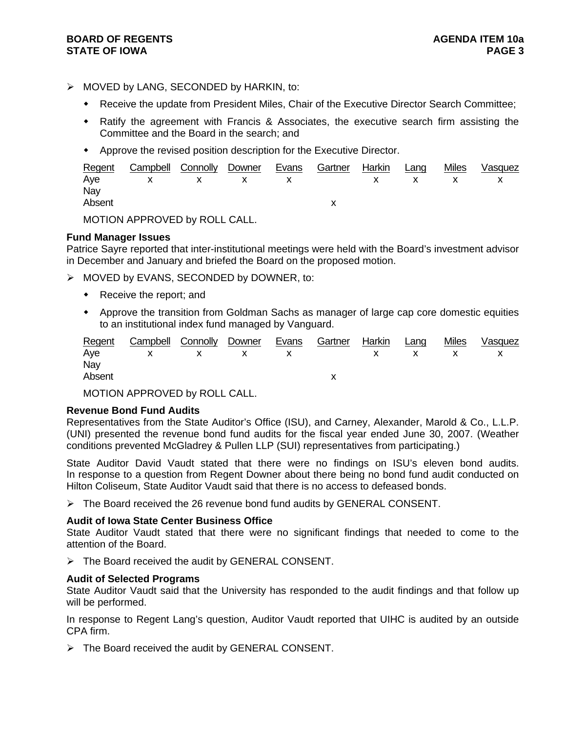## $\triangleright$  MOVED by LANG, SECONDED by HARKIN, to:

- Receive the update from President Miles, Chair of the Executive Director Search Committee;
- Ratify the agreement with Francis & Associates, the executive search firm assisting the Committee and the Board in the search; and
- Approve the revised position description for the Executive Director.

|        | Regent Campbell Connolly Downer Evans Gartner Harkin Lang |  |  |  | Miles Vasquez |
|--------|-----------------------------------------------------------|--|--|--|---------------|
|        | Aye x x x x x x x x x                                     |  |  |  |               |
| Nay    |                                                           |  |  |  |               |
| Absent |                                                           |  |  |  |               |
|        |                                                           |  |  |  |               |

MOTION APPROVED by ROLL CALL.

## **Fund Manager Issues**

Patrice Sayre reported that inter-institutional meetings were held with the Board's investment advisor in December and January and briefed the Board on the proposed motion.

- ¾ MOVED by EVANS, SECONDED by DOWNER, to:
	- Receive the report; and
	- Approve the transition from Goldman Sachs as manager of large cap core domestic equities to an institutional index fund managed by Vanguard.

|        | Regent Campbell Connolly Downer Evans Gartner Harkin Lang |  |  |  | Miles Vasquez |
|--------|-----------------------------------------------------------|--|--|--|---------------|
|        | Aye x x x x x x x x                                       |  |  |  |               |
| Nay    |                                                           |  |  |  |               |
| Absent |                                                           |  |  |  |               |

MOTION APPROVED by ROLL CALL.

## **Revenue Bond Fund Audits**

Representatives from the State Auditor's Office (ISU), and Carney, Alexander, Marold & Co., L.L.P. (UNI) presented the revenue bond fund audits for the fiscal year ended June 30, 2007. (Weather conditions prevented McGladrey & Pullen LLP (SUI) representatives from participating.)

State Auditor David Vaudt stated that there were no findings on ISU's eleven bond audits. In response to a question from Regent Downer about there being no bond fund audit conducted on Hilton Coliseum, State Auditor Vaudt said that there is no access to defeased bonds.

 $\triangleright$  The Board received the 26 revenue bond fund audits by GENERAL CONSENT.

## **Audit of Iowa State Center Business Office**

State Auditor Vaudt stated that there were no significant findings that needed to come to the attention of the Board.

 $\triangleright$  The Board received the audit by GENERAL CONSENT.

## **Audit of Selected Programs**

State Auditor Vaudt said that the University has responded to the audit findings and that follow up will be performed.

In response to Regent Lang's question, Auditor Vaudt reported that UIHC is audited by an outside CPA firm.

 $\triangleright$  The Board received the audit by GENERAL CONSENT.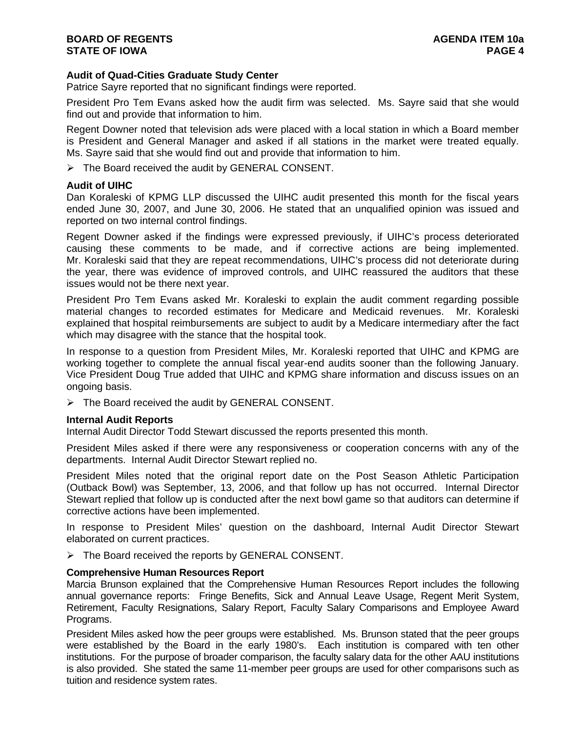## **Audit of Quad-Cities Graduate Study Center**

Patrice Sayre reported that no significant findings were reported.

President Pro Tem Evans asked how the audit firm was selected. Ms. Sayre said that she would find out and provide that information to him.

Regent Downer noted that television ads were placed with a local station in which a Board member is President and General Manager and asked if all stations in the market were treated equally. Ms. Sayre said that she would find out and provide that information to him.

 $\triangleright$  The Board received the audit by GENERAL CONSENT.

### **Audit of UIHC**

Dan Koraleski of KPMG LLP discussed the UIHC audit presented this month for the fiscal years ended June 30, 2007, and June 30, 2006. He stated that an unqualified opinion was issued and reported on two internal control findings.

Regent Downer asked if the findings were expressed previously, if UIHC's process deteriorated causing these comments to be made, and if corrective actions are being implemented. Mr. Koraleski said that they are repeat recommendations, UIHC's process did not deteriorate during the year, there was evidence of improved controls, and UIHC reassured the auditors that these issues would not be there next year.

President Pro Tem Evans asked Mr. Koraleski to explain the audit comment regarding possible material changes to recorded estimates for Medicare and Medicaid revenues. Mr. Koraleski explained that hospital reimbursements are subject to audit by a Medicare intermediary after the fact which may disagree with the stance that the hospital took.

In response to a question from President Miles, Mr. Koraleski reported that UIHC and KPMG are working together to complete the annual fiscal year-end audits sooner than the following January. Vice President Doug True added that UIHC and KPMG share information and discuss issues on an ongoing basis.

 $\triangleright$  The Board received the audit by GENERAL CONSENT.

#### **Internal Audit Reports**

Internal Audit Director Todd Stewart discussed the reports presented this month.

President Miles asked if there were any responsiveness or cooperation concerns with any of the departments. Internal Audit Director Stewart replied no.

President Miles noted that the original report date on the Post Season Athletic Participation (Outback Bowl) was September, 13, 2006, and that follow up has not occurred. Internal Director Stewart replied that follow up is conducted after the next bowl game so that auditors can determine if corrective actions have been implemented.

In response to President Miles' question on the dashboard, Internal Audit Director Stewart elaborated on current practices.

¾ The Board received the reports by GENERAL CONSENT.

#### **Comprehensive Human Resources Report**

Marcia Brunson explained that the Comprehensive Human Resources Report includes the following annual governance reports: Fringe Benefits, Sick and Annual Leave Usage, Regent Merit System, Retirement, Faculty Resignations, Salary Report, Faculty Salary Comparisons and Employee Award Programs.

President Miles asked how the peer groups were established. Ms. Brunson stated that the peer groups were established by the Board in the early 1980's. Each institution is compared with ten other institutions. For the purpose of broader comparison, the faculty salary data for the other AAU institutions is also provided. She stated the same 11-member peer groups are used for other comparisons such as tuition and residence system rates.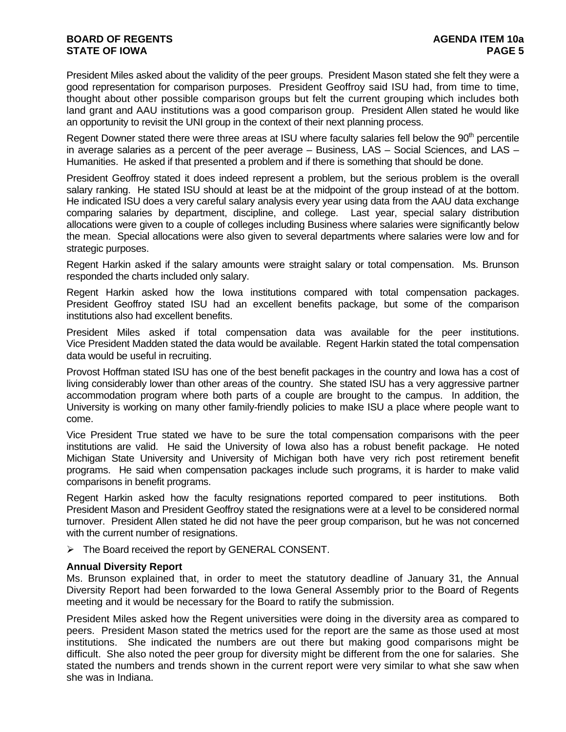President Miles asked about the validity of the peer groups. President Mason stated she felt they were a good representation for comparison purposes. President Geoffroy said ISU had, from time to time, thought about other possible comparison groups but felt the current grouping which includes both land grant and AAU institutions was a good comparison group. President Allen stated he would like an opportunity to revisit the UNI group in the context of their next planning process.

Regent Downer stated there were three areas at ISU where faculty salaries fell below the 90<sup>th</sup> percentile in average salaries as a percent of the peer average – Business, LAS – Social Sciences, and LAS – Humanities. He asked if that presented a problem and if there is something that should be done.

President Geoffroy stated it does indeed represent a problem, but the serious problem is the overall salary ranking. He stated ISU should at least be at the midpoint of the group instead of at the bottom. He indicated ISU does a very careful salary analysis every year using data from the AAU data exchange comparing salaries by department, discipline, and college. Last year, special salary distribution allocations were given to a couple of colleges including Business where salaries were significantly below the mean. Special allocations were also given to several departments where salaries were low and for strategic purposes.

Regent Harkin asked if the salary amounts were straight salary or total compensation. Ms. Brunson responded the charts included only salary.

Regent Harkin asked how the Iowa institutions compared with total compensation packages. President Geoffroy stated ISU had an excellent benefits package, but some of the comparison institutions also had excellent benefits.

President Miles asked if total compensation data was available for the peer institutions. Vice President Madden stated the data would be available. Regent Harkin stated the total compensation data would be useful in recruiting.

Provost Hoffman stated ISU has one of the best benefit packages in the country and Iowa has a cost of living considerably lower than other areas of the country. She stated ISU has a very aggressive partner accommodation program where both parts of a couple are brought to the campus. In addition, the University is working on many other family-friendly policies to make ISU a place where people want to come.

Vice President True stated we have to be sure the total compensation comparisons with the peer institutions are valid. He said the University of Iowa also has a robust benefit package. He noted Michigan State University and University of Michigan both have very rich post retirement benefit programs. He said when compensation packages include such programs, it is harder to make valid comparisons in benefit programs.

Regent Harkin asked how the faculty resignations reported compared to peer institutions. Both President Mason and President Geoffroy stated the resignations were at a level to be considered normal turnover. President Allen stated he did not have the peer group comparison, but he was not concerned with the current number of resignations.

 $\triangleright$  The Board received the report by GENERAL CONSENT.

## **Annual Diversity Report**

Ms. Brunson explained that, in order to meet the statutory deadline of January 31, the Annual Diversity Report had been forwarded to the Iowa General Assembly prior to the Board of Regents meeting and it would be necessary for the Board to ratify the submission.

President Miles asked how the Regent universities were doing in the diversity area as compared to peers. President Mason stated the metrics used for the report are the same as those used at most institutions. She indicated the numbers are out there but making good comparisons might be difficult. She also noted the peer group for diversity might be different from the one for salaries. She stated the numbers and trends shown in the current report were very similar to what she saw when she was in Indiana.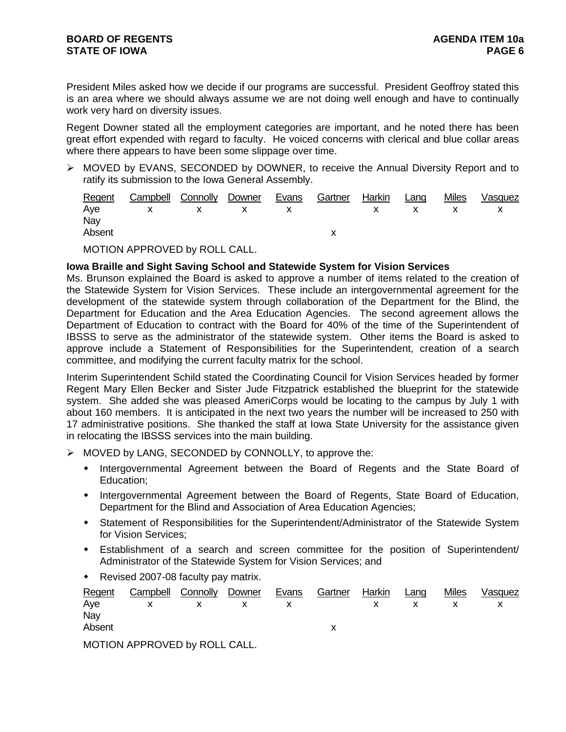President Miles asked how we decide if our programs are successful. President Geoffroy stated this is an area where we should always assume we are not doing well enough and have to continually work very hard on diversity issues.

Regent Downer stated all the employment categories are important, and he noted there has been great effort expended with regard to faculty. He voiced concerns with clerical and blue collar areas where there appears to have been some slippage over time.

¾ MOVED by EVANS, SECONDED by DOWNER, to receive the Annual Diversity Report and to ratify its submission to the Iowa General Assembly.

|        | Regent Campbell Connolly Downer Evans Gartner Harkin Lang Miles Vasquez |  |  |  |  |
|--------|-------------------------------------------------------------------------|--|--|--|--|
|        | Aye x x x x x x x x x                                                   |  |  |  |  |
| Nay    |                                                                         |  |  |  |  |
| Absent |                                                                         |  |  |  |  |

MOTION APPROVED by ROLL CALL.

## **Iowa Braille and Sight Saving School and Statewide System for Vision Services**

Ms. Brunson explained the Board is asked to approve a number of items related to the creation of the Statewide System for Vision Services. These include an intergovernmental agreement for the development of the statewide system through collaboration of the Department for the Blind, the Department for Education and the Area Education Agencies. The second agreement allows the Department of Education to contract with the Board for 40% of the time of the Superintendent of IBSSS to serve as the administrator of the statewide system. Other items the Board is asked to approve include a Statement of Responsibilities for the Superintendent, creation of a search committee, and modifying the current faculty matrix for the school.

Interim Superintendent Schild stated the Coordinating Council for Vision Services headed by former Regent Mary Ellen Becker and Sister Jude Fitzpatrick established the blueprint for the statewide system. She added she was pleased AmeriCorps would be locating to the campus by July 1 with about 160 members. It is anticipated in the next two years the number will be increased to 250 with 17 administrative positions. She thanked the staff at Iowa State University for the assistance given in relocating the IBSSS services into the main building.

- $\triangleright$  MOVED by LANG, SECONDED by CONNOLLY, to approve the:
	- Intergovernmental Agreement between the Board of Regents and the State Board of Education;
	- Intergovernmental Agreement between the Board of Regents, State Board of Education, Department for the Blind and Association of Area Education Agencies;
	- Statement of Responsibilities for the Superintendent/Administrator of the Statewide System for Vision Services;
	- Establishment of a search and screen committee for the position of Superintendent/ Administrator of the Statewide System for Vision Services; and
	- Revised 2007-08 faculty pay matrix.

|        | Regent Campbell Connolly Downer Evans Gartner Harkin Lang |  |  |  | <u>Miles</u> | Vasquez |
|--------|-----------------------------------------------------------|--|--|--|--------------|---------|
|        | Aye x x x x x x x x x                                     |  |  |  |              |         |
| Nay    |                                                           |  |  |  |              |         |
| Absent |                                                           |  |  |  |              |         |

MOTION APPROVED by ROLL CALL.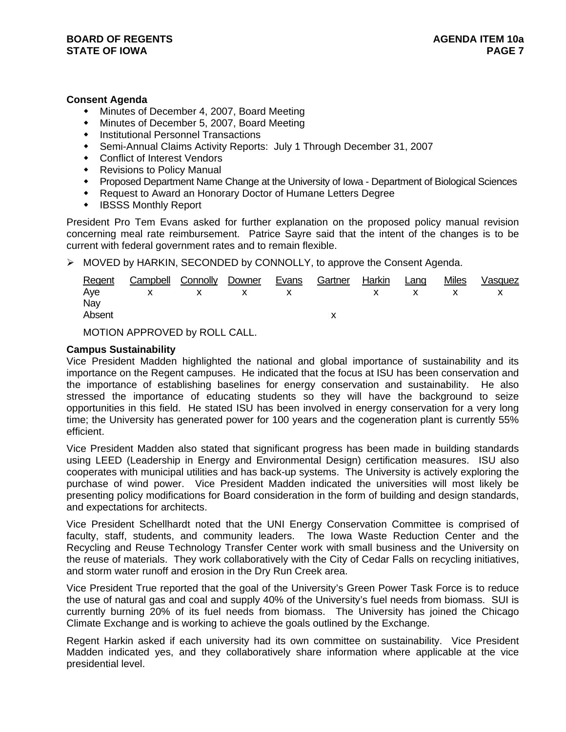## **Consent Agenda**

- Minutes of December 4, 2007, Board Meeting
- Minutes of December 5, 2007, Board Meeting
- **•** Institutional Personnel Transactions
- Semi-Annual Claims Activity Reports: July 1 Through December 31, 2007
- Conflict of Interest Vendors
- ◆ Revisions to Policy Manual
- Proposed Department Name Change at the University of Iowa Department of Biological Sciences
- Request to Award an Honorary Doctor of Humane Letters Degree
- IBSSS Monthly Report

President Pro Tem Evans asked for further explanation on the proposed policy manual revision concerning meal rate reimbursement. Patrice Sayre said that the intent of the changes is to be current with federal government rates and to remain flexible.

¾ MOVED by HARKIN, SECONDED by CONNOLLY, to approve the Consent Agenda.

| Regent | Campbell Connolly Downer |       | Evans | Gartner | Harkin | Lang | <b>Miles</b> | Vasquez |
|--------|--------------------------|-------|-------|---------|--------|------|--------------|---------|
|        | Aye x x x x x x x x x    |       |       |         |        |      |              |         |
| Nay    |                          |       |       |         |        |      |              |         |
| Absent |                          |       |       |         |        |      |              |         |
|        |                          | _ _ _ |       |         |        |      |              |         |

MOTION APPROVED by ROLL CALL.

## **Campus Sustainability**

Vice President Madden highlighted the national and global importance of sustainability and its importance on the Regent campuses. He indicated that the focus at ISU has been conservation and the importance of establishing baselines for energy conservation and sustainability. He also stressed the importance of educating students so they will have the background to seize opportunities in this field. He stated ISU has been involved in energy conservation for a very long time; the University has generated power for 100 years and the cogeneration plant is currently 55% efficient.

Vice President Madden also stated that significant progress has been made in building standards using LEED (Leadership in Energy and Environmental Design) certification measures. ISU also cooperates with municipal utilities and has back-up systems. The University is actively exploring the purchase of wind power. Vice President Madden indicated the universities will most likely be presenting policy modifications for Board consideration in the form of building and design standards, and expectations for architects.

Vice President Schellhardt noted that the UNI Energy Conservation Committee is comprised of faculty, staff, students, and community leaders. The Iowa Waste Reduction Center and the Recycling and Reuse Technology Transfer Center work with small business and the University on the reuse of materials. They work collaboratively with the City of Cedar Falls on recycling initiatives, and storm water runoff and erosion in the Dry Run Creek area.

Vice President True reported that the goal of the University's Green Power Task Force is to reduce the use of natural gas and coal and supply 40% of the University's fuel needs from biomass. SUI is currently burning 20% of its fuel needs from biomass. The University has joined the Chicago Climate Exchange and is working to achieve the goals outlined by the Exchange.

Regent Harkin asked if each university had its own committee on sustainability. Vice President Madden indicated yes, and they collaboratively share information where applicable at the vice presidential level.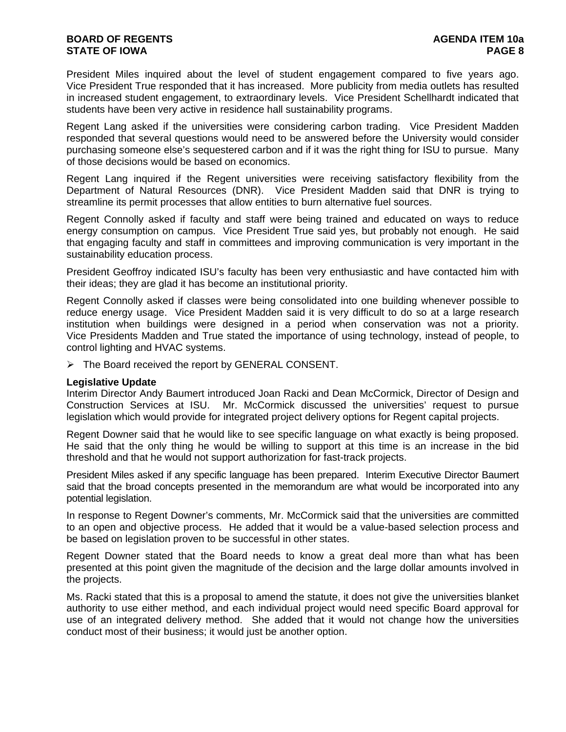# **BOARD OF REGENTS AGENUS AGENDA ITEM 10a STATE OF IOWA** PAGE 8

President Miles inquired about the level of student engagement compared to five years ago. Vice President True responded that it has increased. More publicity from media outlets has resulted in increased student engagement, to extraordinary levels. Vice President Schellhardt indicated that students have been very active in residence hall sustainability programs.

Regent Lang asked if the universities were considering carbon trading. Vice President Madden responded that several questions would need to be answered before the University would consider purchasing someone else's sequestered carbon and if it was the right thing for ISU to pursue. Many of those decisions would be based on economics.

Regent Lang inquired if the Regent universities were receiving satisfactory flexibility from the Department of Natural Resources (DNR). Vice President Madden said that DNR is trying to streamline its permit processes that allow entities to burn alternative fuel sources.

Regent Connolly asked if faculty and staff were being trained and educated on ways to reduce energy consumption on campus. Vice President True said yes, but probably not enough. He said that engaging faculty and staff in committees and improving communication is very important in the sustainability education process.

President Geoffroy indicated ISU's faculty has been very enthusiastic and have contacted him with their ideas; they are glad it has become an institutional priority.

Regent Connolly asked if classes were being consolidated into one building whenever possible to reduce energy usage. Vice President Madden said it is very difficult to do so at a large research institution when buildings were designed in a period when conservation was not a priority. Vice Presidents Madden and True stated the importance of using technology, instead of people, to control lighting and HVAC systems.

¾ The Board received the report by GENERAL CONSENT.

### **Legislative Update**

Interim Director Andy Baumert introduced Joan Racki and Dean McCormick, Director of Design and Construction Services at ISU. Mr. McCormick discussed the universities' request to pursue legislation which would provide for integrated project delivery options for Regent capital projects.

Regent Downer said that he would like to see specific language on what exactly is being proposed. He said that the only thing he would be willing to support at this time is an increase in the bid threshold and that he would not support authorization for fast-track projects.

President Miles asked if any specific language has been prepared. Interim Executive Director Baumert said that the broad concepts presented in the memorandum are what would be incorporated into any potential legislation.

In response to Regent Downer's comments, Mr. McCormick said that the universities are committed to an open and objective process. He added that it would be a value-based selection process and be based on legislation proven to be successful in other states.

Regent Downer stated that the Board needs to know a great deal more than what has been presented at this point given the magnitude of the decision and the large dollar amounts involved in the projects.

Ms. Racki stated that this is a proposal to amend the statute, it does not give the universities blanket authority to use either method, and each individual project would need specific Board approval for use of an integrated delivery method. She added that it would not change how the universities conduct most of their business; it would just be another option.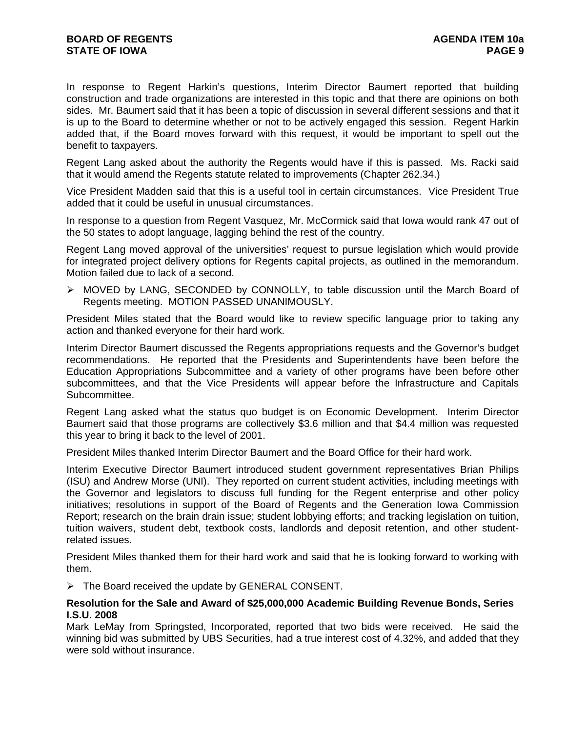In response to Regent Harkin's questions, Interim Director Baumert reported that building construction and trade organizations are interested in this topic and that there are opinions on both sides. Mr. Baumert said that it has been a topic of discussion in several different sessions and that it is up to the Board to determine whether or not to be actively engaged this session. Regent Harkin added that, if the Board moves forward with this request, it would be important to spell out the benefit to taxpayers.

Regent Lang asked about the authority the Regents would have if this is passed. Ms. Racki said that it would amend the Regents statute related to improvements (Chapter 262.34.)

Vice President Madden said that this is a useful tool in certain circumstances. Vice President True added that it could be useful in unusual circumstances.

In response to a question from Regent Vasquez, Mr. McCormick said that Iowa would rank 47 out of the 50 states to adopt language, lagging behind the rest of the country.

Regent Lang moved approval of the universities' request to pursue legislation which would provide for integrated project delivery options for Regents capital projects, as outlined in the memorandum. Motion failed due to lack of a second.

¾ MOVED by LANG, SECONDED by CONNOLLY, to table discussion until the March Board of Regents meeting. MOTION PASSED UNANIMOUSLY.

President Miles stated that the Board would like to review specific language prior to taking any action and thanked everyone for their hard work.

Interim Director Baumert discussed the Regents appropriations requests and the Governor's budget recommendations. He reported that the Presidents and Superintendents have been before the Education Appropriations Subcommittee and a variety of other programs have been before other subcommittees, and that the Vice Presidents will appear before the Infrastructure and Capitals Subcommittee.

Regent Lang asked what the status quo budget is on Economic Development. Interim Director Baumert said that those programs are collectively \$3.6 million and that \$4.4 million was requested this year to bring it back to the level of 2001.

President Miles thanked Interim Director Baumert and the Board Office for their hard work.

Interim Executive Director Baumert introduced student government representatives Brian Philips (ISU) and Andrew Morse (UNI). They reported on current student activities, including meetings with the Governor and legislators to discuss full funding for the Regent enterprise and other policy initiatives; resolutions in support of the Board of Regents and the Generation Iowa Commission Report; research on the brain drain issue; student lobbying efforts; and tracking legislation on tuition, tuition waivers, student debt, textbook costs, landlords and deposit retention, and other studentrelated issues.

President Miles thanked them for their hard work and said that he is looking forward to working with them.

 $\triangleright$  The Board received the update by GENERAL CONSENT.

### **Resolution for the Sale and Award of \$25,000,000 Academic Building Revenue Bonds, Series I.S.U. 2008**

Mark LeMay from Springsted, Incorporated, reported that two bids were received. He said the winning bid was submitted by UBS Securities, had a true interest cost of 4.32%, and added that they were sold without insurance.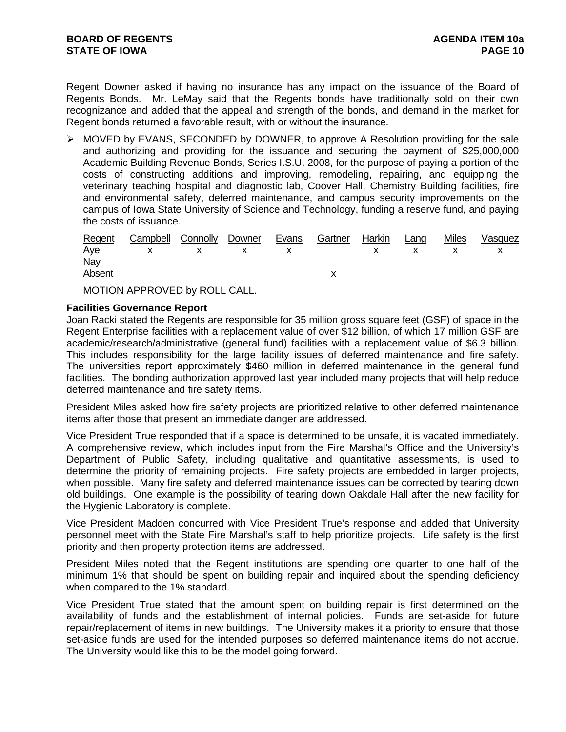Regent Downer asked if having no insurance has any impact on the issuance of the Board of Regents Bonds. Mr. LeMay said that the Regents bonds have traditionally sold on their own recognizance and added that the appeal and strength of the bonds, and demand in the market for Regent bonds returned a favorable result, with or without the insurance.

 $\triangleright$  MOVED by EVANS, SECONDED by DOWNER, to approve A Resolution providing for the sale and authorizing and providing for the issuance and securing the payment of \$25,000,000 Academic Building Revenue Bonds, Series I.S.U. 2008, for the purpose of paying a portion of the costs of constructing additions and improving, remodeling, repairing, and equipping the veterinary teaching hospital and diagnostic lab, Coover Hall, Chemistry Building facilities, fire and environmental safety, deferred maintenance, and campus security improvements on the campus of Iowa State University of Science and Technology, funding a reserve fund, and paying the costs of issuance.

| Regent | Campbell Connolly Downer |  | Evans | Gartner | Harkin | Lang | <b>Miles</b> | Vasquez |
|--------|--------------------------|--|-------|---------|--------|------|--------------|---------|
|        | Aye x x x x x x x x x    |  |       |         |        |      |              |         |
| Nay    |                          |  |       |         |        |      |              |         |
| Absent |                          |  |       |         |        |      |              |         |
|        |                          |  |       |         |        |      |              |         |

MOTION APPROVED by ROLL CALL.

## **Facilities Governance Report**

Joan Racki stated the Regents are responsible for 35 million gross square feet (GSF) of space in the Regent Enterprise facilities with a replacement value of over \$12 billion, of which 17 million GSF are academic/research/administrative (general fund) facilities with a replacement value of \$6.3 billion. This includes responsibility for the large facility issues of deferred maintenance and fire safety. The universities report approximately \$460 million in deferred maintenance in the general fund facilities. The bonding authorization approved last year included many projects that will help reduce deferred maintenance and fire safety items.

President Miles asked how fire safety projects are prioritized relative to other deferred maintenance items after those that present an immediate danger are addressed.

Vice President True responded that if a space is determined to be unsafe, it is vacated immediately. A comprehensive review, which includes input from the Fire Marshal's Office and the University's Department of Public Safety, including qualitative and quantitative assessments, is used to determine the priority of remaining projects. Fire safety projects are embedded in larger projects, when possible. Many fire safety and deferred maintenance issues can be corrected by tearing down old buildings. One example is the possibility of tearing down Oakdale Hall after the new facility for the Hygienic Laboratory is complete.

Vice President Madden concurred with Vice President True's response and added that University personnel meet with the State Fire Marshal's staff to help prioritize projects. Life safety is the first priority and then property protection items are addressed.

President Miles noted that the Regent institutions are spending one quarter to one half of the minimum 1% that should be spent on building repair and inquired about the spending deficiency when compared to the 1% standard.

Vice President True stated that the amount spent on building repair is first determined on the availability of funds and the establishment of internal policies. Funds are set-aside for future repair/replacement of items in new buildings. The University makes it a priority to ensure that those set-aside funds are used for the intended purposes so deferred maintenance items do not accrue. The University would like this to be the model going forward.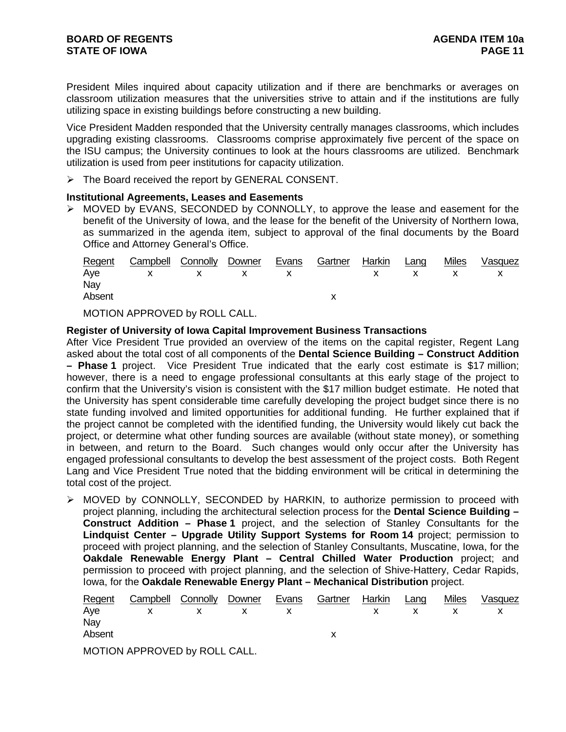President Miles inquired about capacity utilization and if there are benchmarks or averages on classroom utilization measures that the universities strive to attain and if the institutions are fully utilizing space in existing buildings before constructing a new building.

Vice President Madden responded that the University centrally manages classrooms, which includes upgrading existing classrooms. Classrooms comprise approximately five percent of the space on the ISU campus; the University continues to look at the hours classrooms are utilized. Benchmark utilization is used from peer institutions for capacity utilization.

 $\triangleright$  The Board received the report by GENERAL CONSENT.

### **Institutional Agreements, Leases and Easements**

¾ MOVED by EVANS, SECONDED by CONNOLLY, to approve the lease and easement for the benefit of the University of Iowa, and the lease for the benefit of the University of Northern Iowa, as summarized in the agenda item, subject to approval of the final documents by the Board Office and Attorney General's Office.

| Regent | Campbell Connolly Downer Evans Gartner Harkin Lang |  |  |  | Miles | Vasquez |
|--------|----------------------------------------------------|--|--|--|-------|---------|
|        | Aye x x x x x x x x x                              |  |  |  |       |         |
| Nay    |                                                    |  |  |  |       |         |
| Absent |                                                    |  |  |  |       |         |
|        |                                                    |  |  |  |       |         |

MOTION APPROVED by ROLL CALL.

**Register of University of Iowa Capital Improvement Business Transactions** 

After Vice President True provided an overview of the items on the capital register, Regent Lang asked about the total cost of all components of the **Dental Science Building – Construct Addition – Phase 1** project. Vice President True indicated that the early cost estimate is \$17 million; however, there is a need to engage professional consultants at this early stage of the project to confirm that the University's vision is consistent with the \$17 million budget estimate. He noted that the University has spent considerable time carefully developing the project budget since there is no state funding involved and limited opportunities for additional funding. He further explained that if the project cannot be completed with the identified funding, the University would likely cut back the project, or determine what other funding sources are available (without state money), or something in between, and return to the Board. Such changes would only occur after the University has engaged professional consultants to develop the best assessment of the project costs. Both Regent Lang and Vice President True noted that the bidding environment will be critical in determining the total cost of the project.

¾ MOVED by CONNOLLY, SECONDED by HARKIN, to authorize permission to proceed with project planning, including the architectural selection process for the **Dental Science Building – Construct Addition – Phase 1** project, and the selection of Stanley Consultants for the **Lindquist Center – Upgrade Utility Support Systems for Room 14** project; permission to proceed with project planning, and the selection of Stanley Consultants, Muscatine, Iowa, for the **Oakdale Renewable Energy Plant – Central Chilled Water Production** project; and permission to proceed with project planning, and the selection of Shive-Hattery, Cedar Rapids, Iowa, for the **Oakdale Renewable Energy Plant – Mechanical Distribution** project.

| Regent | Campbell Connolly Downer     |  | Evans | Gartner | Harkin | Lang | <b>Miles</b> | Vasquez |
|--------|------------------------------|--|-------|---------|--------|------|--------------|---------|
| Aye    | $X$ x x                      |  |       |         |        |      |              |         |
| Nay    |                              |  |       |         |        |      |              |         |
| Absent |                              |  |       |         |        |      |              |         |
|        | MOTION ADDROVED by ROLL CALL |  |       |         |        |      |              |         |

MOTION APPROVED by ROLL CALL.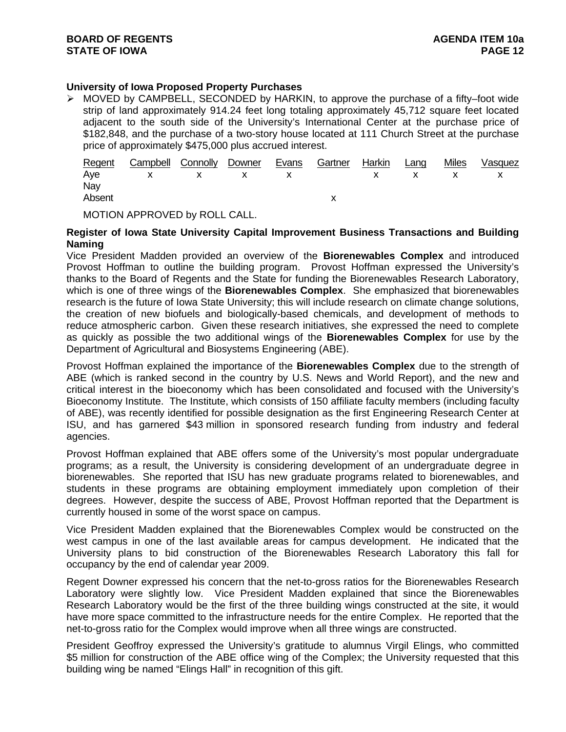# **University of Iowa Proposed Property Purchases**

 $\triangleright$  MOVED by CAMPBELL, SECONDED by HARKIN, to approve the purchase of a fifty–foot wide strip of land approximately 914.24 feet long totaling approximately 45,712 square feet located adjacent to the south side of the University's International Center at the purchase price of \$182,848, and the purchase of a two-story house located at 111 Church Street at the purchase price of approximately \$475,000 plus accrued interest.

|        | Regent Campbell Connolly Downer Evans Gartner Harkin Lang |  |  |  | <u>Miles</u> | Vasquez |
|--------|-----------------------------------------------------------|--|--|--|--------------|---------|
|        | Aye x x x x x x x x                                       |  |  |  |              |         |
| Nay    |                                                           |  |  |  |              |         |
| Absent |                                                           |  |  |  |              |         |
|        |                                                           |  |  |  |              |         |

MOTION APPROVED by ROLL CALL.

## **Register of Iowa State University Capital Improvement Business Transactions and Building Naming**

Vice President Madden provided an overview of the **Biorenewables Complex** and introduced Provost Hoffman to outline the building program. Provost Hoffman expressed the University's thanks to the Board of Regents and the State for funding the Biorenewables Research Laboratory, which is one of three wings of the **Biorenewables Complex**. She emphasized that biorenewables research is the future of Iowa State University; this will include research on climate change solutions, the creation of new biofuels and biologically-based chemicals, and development of methods to reduce atmospheric carbon. Given these research initiatives, she expressed the need to complete as quickly as possible the two additional wings of the **Biorenewables Complex** for use by the Department of Agricultural and Biosystems Engineering (ABE).

Provost Hoffman explained the importance of the **Biorenewables Complex** due to the strength of ABE (which is ranked second in the country by U.S. News and World Report), and the new and critical interest in the bioeconomy which has been consolidated and focused with the University's Bioeconomy Institute. The Institute, which consists of 150 affiliate faculty members (including faculty of ABE), was recently identified for possible designation as the first Engineering Research Center at ISU, and has garnered \$43 million in sponsored research funding from industry and federal agencies.

Provost Hoffman explained that ABE offers some of the University's most popular undergraduate programs; as a result, the University is considering development of an undergraduate degree in biorenewables. She reported that ISU has new graduate programs related to biorenewables, and students in these programs are obtaining employment immediately upon completion of their degrees. However, despite the success of ABE, Provost Hoffman reported that the Department is currently housed in some of the worst space on campus.

Vice President Madden explained that the Biorenewables Complex would be constructed on the west campus in one of the last available areas for campus development. He indicated that the University plans to bid construction of the Biorenewables Research Laboratory this fall for occupancy by the end of calendar year 2009.

Regent Downer expressed his concern that the net-to-gross ratios for the Biorenewables Research Laboratory were slightly low. Vice President Madden explained that since the Biorenewables Research Laboratory would be the first of the three building wings constructed at the site, it would have more space committed to the infrastructure needs for the entire Complex. He reported that the net-to-gross ratio for the Complex would improve when all three wings are constructed.

President Geoffroy expressed the University's gratitude to alumnus Virgil Elings, who committed \$5 million for construction of the ABE office wing of the Complex; the University requested that this building wing be named "Elings Hall" in recognition of this gift.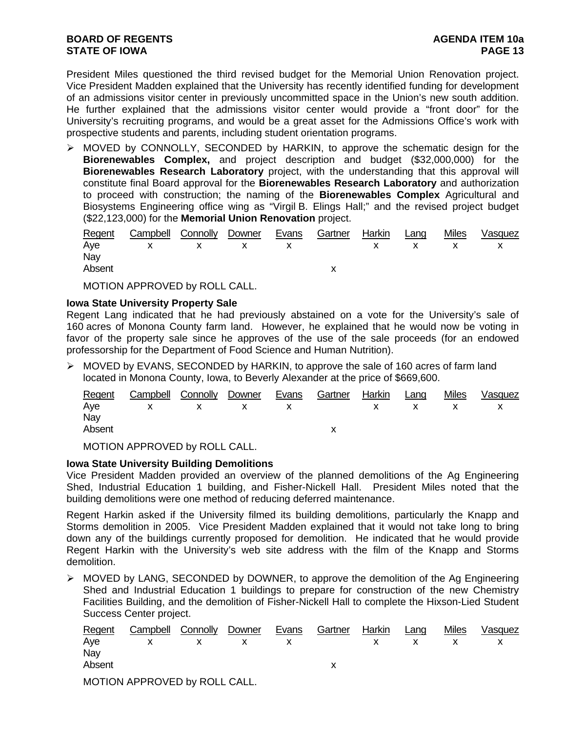President Miles questioned the third revised budget for the Memorial Union Renovation project. Vice President Madden explained that the University has recently identified funding for development of an admissions visitor center in previously uncommitted space in the Union's new south addition. He further explained that the admissions visitor center would provide a "front door" for the University's recruiting programs, and would be a great asset for the Admissions Office's work with prospective students and parents, including student orientation programs.

¾ MOVED by CONNOLLY, SECONDED by HARKIN, to approve the schematic design for the **Biorenewables Complex,** and project description and budget (\$32,000,000) for the **Biorenewables Research Laboratory** project, with the understanding that this approval will constitute final Board approval for the **Biorenewables Research Laboratory** and authorization to proceed with construction; the naming of the **Biorenewables Complex** Agricultural and Biosystems Engineering office wing as "Virgil B. Elings Hall;" and the revised project budget (\$22,123,000) for the **Memorial Union Renovation** project.

| <u>Regent</u> | Campbell Connolly Downer |  | Evans | Gartner | Harkin | Lang | <b>Miles</b> | Vasquez |
|---------------|--------------------------|--|-------|---------|--------|------|--------------|---------|
|               | Aye x x x x x x x x x    |  |       |         |        |      |              |         |
| Nav           |                          |  |       |         |        |      |              |         |
| Absent        |                          |  |       |         |        |      |              |         |
|               |                          |  |       |         |        |      |              |         |

MOTION APPROVED by ROLL CALL.

## **Iowa State University Property Sale**

Regent Lang indicated that he had previously abstained on a vote for the University's sale of 160 acres of Monona County farm land. However, he explained that he would now be voting in favor of the property sale since he approves of the use of the sale proceeds (for an endowed professorship for the Department of Food Science and Human Nutrition).

¾ MOVED by EVANS, SECONDED by HARKIN, to approve the sale of 160 acres of farm land located in Monona County, Iowa, to Beverly Alexander at the price of \$669,600.

|        | Regent Campbell Connolly Downer Evans Gartner Harkin Lang |  |  |  | <u>Miles</u> | Vasquez |
|--------|-----------------------------------------------------------|--|--|--|--------------|---------|
|        | Aye x x x x x x x x x                                     |  |  |  |              |         |
| Nav    |                                                           |  |  |  |              |         |
| Absent |                                                           |  |  |  |              |         |
|        |                                                           |  |  |  |              |         |

MOTION APPROVED by ROLL CALL.

## **Iowa State University Building Demolitions**

Vice President Madden provided an overview of the planned demolitions of the Ag Engineering Shed, Industrial Education 1 building, and Fisher-Nickell Hall. President Miles noted that the building demolitions were one method of reducing deferred maintenance.

Regent Harkin asked if the University filmed its building demolitions, particularly the Knapp and Storms demolition in 2005. Vice President Madden explained that it would not take long to bring down any of the buildings currently proposed for demolition. He indicated that he would provide Regent Harkin with the University's web site address with the film of the Knapp and Storms demolition.

 $\triangleright$  MOVED by LANG, SECONDED by DOWNER, to approve the demolition of the Ag Engineering Shed and Industrial Education 1 buildings to prepare for construction of the new Chemistry Facilities Building, and the demolition of Fisher-Nickell Hall to complete the Hixson-Lied Student Success Center project.

|        | Regent Campbell Connolly Downer Evans |          | Gartner Harkin Lang |  | Miles | Vasquez |
|--------|---------------------------------------|----------|---------------------|--|-------|---------|
|        | Aye x x x x x x x x x                 |          |                     |  |       |         |
| Nay    |                                       |          |                     |  |       |         |
| Absent |                                       |          |                     |  |       |         |
|        |                                       | -------- |                     |  |       |         |

MOTION APPROVED by ROLL CALL.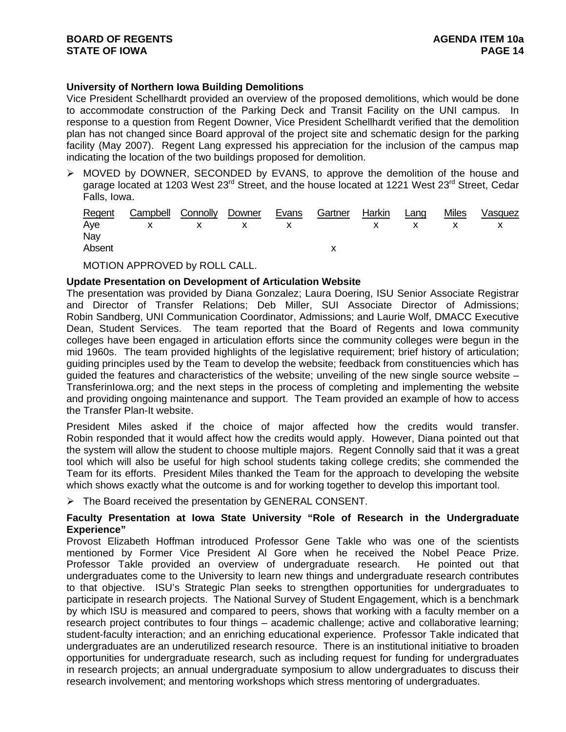# **University of Northern Iowa Building Demolitions**

Vice President Schellhardt provided an overview of the proposed demolitions, which would be done to accommodate construction of the Parking Deck and Transit Facility on the UNI campus. In response to a question from Regent Downer, Vice President Schellhardt verified that the demolition plan has not changed since Board approval of the project site and schematic design for the parking facility (May 2007). Regent Lang expressed his appreciation for the inclusion of the campus map indicating the location of the two buildings proposed for demolition.

¾ MOVED by DOWNER, SECONDED by EVANS, to approve the demolition of the house and garage located at 1203 West 23<sup>rd</sup> Street, and the house located at 1221 West 23<sup>rd</sup> Street, Cedar Falls, Iowa.

|        | Regent Campbell Connolly Downer Evans Gartner Harkin Lang |  |  |  | Miles Vasquez |
|--------|-----------------------------------------------------------|--|--|--|---------------|
|        | Aye x x x x x x x x x                                     |  |  |  |               |
| Nay    |                                                           |  |  |  |               |
| Absent |                                                           |  |  |  |               |

MOTION APPROVED by ROLL CALL.

## **Update Presentation on Development of Articulation Website**

The presentation was provided by Diana Gonzalez; Laura Doering, ISU Senior Associate Registrar and Director of Transfer Relations; Deb Miller, SUI Associate Director of Admissions; Robin Sandberg, UNI Communication Coordinator, Admissions; and Laurie Wolf, DMACC Executive Dean, Student Services. The team reported that the Board of Regents and Iowa community colleges have been engaged in articulation efforts since the community colleges were begun in the mid 1960s. The team provided highlights of the legislative requirement; brief history of articulation; guiding principles used by the Team to develop the website; feedback from constituencies which has guided the features and characteristics of the website; unveiling of the new single source website – TransferinIowa.org; and the next steps in the process of completing and implementing the website and providing ongoing maintenance and support. The Team provided an example of how to access the Transfer Plan-It website.

President Miles asked if the choice of major affected how the credits would transfer. Robin responded that it would affect how the credits would apply. However, Diana pointed out that the system will allow the student to choose multiple majors. Regent Connolly said that it was a great tool which will also be useful for high school students taking college credits; she commended the Team for its efforts. President Miles thanked the Team for the approach to developing the website which shows exactly what the outcome is and for working together to develop this important tool.

¾ The Board received the presentation by GENERAL CONSENT.

## **Faculty Presentation at Iowa State University "Role of Research in the Undergraduate Experience"**

Provost Elizabeth Hoffman introduced Professor Gene Takle who was one of the scientists mentioned by Former Vice President Al Gore when he received the Nobel Peace Prize. Professor Takle provided an overview of undergraduate research. He pointed out that undergraduates come to the University to learn new things and undergraduate research contributes to that objective. ISU's Strategic Plan seeks to strengthen opportunities for undergraduates to participate in research projects. The National Survey of Student Engagement, which is a benchmark by which ISU is measured and compared to peers, shows that working with a faculty member on a research project contributes to four things – academic challenge; active and collaborative learning; student-faculty interaction; and an enriching educational experience. Professor Takle indicated that undergraduates are an underutilized research resource. There is an institutional initiative to broaden opportunities for undergraduate research, such as including request for funding for undergraduates in research projects; an annual undergraduate symposium to allow undergraduates to discuss their research involvement; and mentoring workshops which stress mentoring of undergraduates.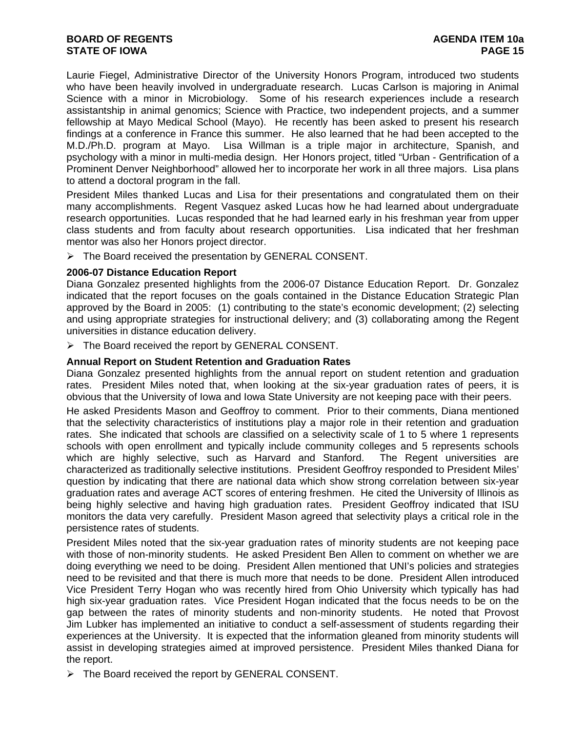# **BOARD OF REGENTS AGENUS AGENDA ITEM 10a STATE OF IOWA** PAGE 15

Laurie Fiegel, Administrative Director of the University Honors Program, introduced two students who have been heavily involved in undergraduate research. Lucas Carlson is majoring in Animal Science with a minor in Microbiology. Some of his research experiences include a research assistantship in animal genomics; Science with Practice, two independent projects, and a summer fellowship at Mayo Medical School (Mayo). He recently has been asked to present his research findings at a conference in France this summer. He also learned that he had been accepted to the M.D./Ph.D. program at Mayo. Lisa Willman is a triple major in architecture, Spanish, and psychology with a minor in multi-media design. Her Honors project, titled "Urban - Gentrification of a Prominent Denver Neighborhood" allowed her to incorporate her work in all three majors. Lisa plans to attend a doctoral program in the fall.

President Miles thanked Lucas and Lisa for their presentations and congratulated them on their many accomplishments. Regent Vasquez asked Lucas how he had learned about undergraduate research opportunities. Lucas responded that he had learned early in his freshman year from upper class students and from faculty about research opportunities. Lisa indicated that her freshman mentor was also her Honors project director.

¾ The Board received the presentation by GENERAL CONSENT.

### **2006-07 Distance Education Report**

Diana Gonzalez presented highlights from the 2006-07 Distance Education Report. Dr. Gonzalez indicated that the report focuses on the goals contained in the Distance Education Strategic Plan approved by the Board in 2005: (1) contributing to the state's economic development; (2) selecting and using appropriate strategies for instructional delivery; and (3) collaborating among the Regent universities in distance education delivery.

 $\triangleright$  The Board received the report by GENERAL CONSENT.

## **Annual Report on Student Retention and Graduation Rates**

Diana Gonzalez presented highlights from the annual report on student retention and graduation rates. President Miles noted that, when looking at the six-year graduation rates of peers, it is obvious that the University of Iowa and Iowa State University are not keeping pace with their peers.

He asked Presidents Mason and Geoffroy to comment. Prior to their comments, Diana mentioned that the selectivity characteristics of institutions play a major role in their retention and graduation rates. She indicated that schools are classified on a selectivity scale of 1 to 5 where 1 represents schools with open enrollment and typically include community colleges and 5 represents schools which are highly selective, such as Harvard and Stanford. The Regent universities are characterized as traditionally selective institutions. President Geoffroy responded to President Miles' question by indicating that there are national data which show strong correlation between six-year graduation rates and average ACT scores of entering freshmen. He cited the University of Illinois as being highly selective and having high graduation rates. President Geoffroy indicated that ISU monitors the data very carefully. President Mason agreed that selectivity plays a critical role in the persistence rates of students.

President Miles noted that the six-year graduation rates of minority students are not keeping pace with those of non-minority students. He asked President Ben Allen to comment on whether we are doing everything we need to be doing. President Allen mentioned that UNI's policies and strategies need to be revisited and that there is much more that needs to be done. President Allen introduced Vice President Terry Hogan who was recently hired from Ohio University which typically has had high six-year graduation rates. Vice President Hogan indicated that the focus needs to be on the gap between the rates of minority students and non-minority students. He noted that Provost Jim Lubker has implemented an initiative to conduct a self-assessment of students regarding their experiences at the University. It is expected that the information gleaned from minority students will assist in developing strategies aimed at improved persistence. President Miles thanked Diana for the report.

¾ The Board received the report by GENERAL CONSENT.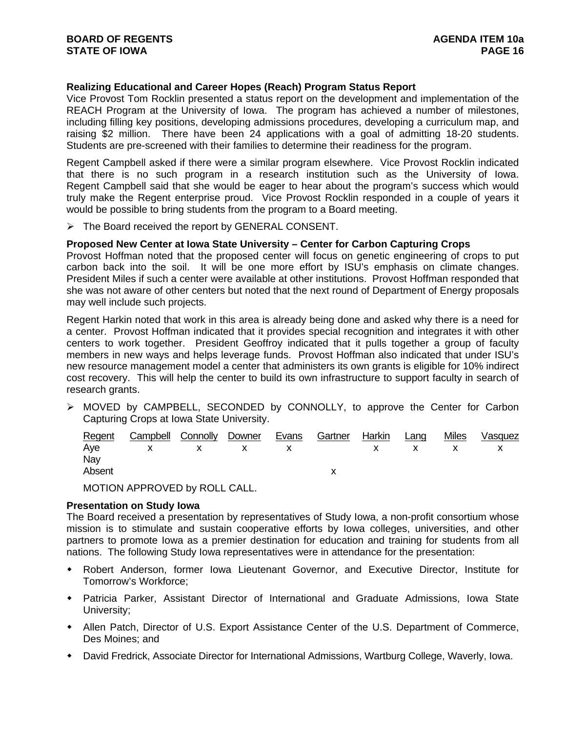## **Realizing Educational and Career Hopes (Reach) Program Status Report**

Vice Provost Tom Rocklin presented a status report on the development and implementation of the REACH Program at the University of Iowa. The program has achieved a number of milestones, including filling key positions, developing admissions procedures, developing a curriculum map, and raising \$2 million. There have been 24 applications with a goal of admitting 18-20 students. Students are pre-screened with their families to determine their readiness for the program.

Regent Campbell asked if there were a similar program elsewhere. Vice Provost Rocklin indicated that there is no such program in a research institution such as the University of Iowa. Regent Campbell said that she would be eager to hear about the program's success which would truly make the Regent enterprise proud. Vice Provost Rocklin responded in a couple of years it would be possible to bring students from the program to a Board meeting.

¾ The Board received the report by GENERAL CONSENT.

## **Proposed New Center at Iowa State University – Center for Carbon Capturing Crops**

Provost Hoffman noted that the proposed center will focus on genetic engineering of crops to put carbon back into the soil. It will be one more effort by ISU's emphasis on climate changes. President Miles if such a center were available at other institutions. Provost Hoffman responded that she was not aware of other centers but noted that the next round of Department of Energy proposals may well include such projects.

Regent Harkin noted that work in this area is already being done and asked why there is a need for a center. Provost Hoffman indicated that it provides special recognition and integrates it with other centers to work together. President Geoffroy indicated that it pulls together a group of faculty members in new ways and helps leverage funds. Provost Hoffman also indicated that under ISU's new resource management model a center that administers its own grants is eligible for 10% indirect cost recovery. This will help the center to build its own infrastructure to support faculty in search of research grants.

¾ MOVED by CAMPBELL, SECONDED by CONNOLLY, to approve the Center for Carbon Capturing Crops at Iowa State University.

|               | Regent Campbell Connolly Downer Evans Gartner Harkin Lang |       |  |  | <u>Miles</u> | Vasquez |
|---------------|-----------------------------------------------------------|-------|--|--|--------------|---------|
|               | Aye x x x x x x x x x                                     |       |  |  |              |         |
| Nay<br>Absent |                                                           |       |  |  |              |         |
|               |                                                           | _ _ _ |  |  |              |         |

MOTION APPROVED by ROLL CALL.

## **Presentation on Study Iowa**

The Board received a presentation by representatives of Study Iowa, a non-profit consortium whose mission is to stimulate and sustain cooperative efforts by Iowa colleges, universities, and other partners to promote Iowa as a premier destination for education and training for students from all nations. The following Study Iowa representatives were in attendance for the presentation:

- Robert Anderson, former Iowa Lieutenant Governor, and Executive Director, Institute for Tomorrow's Workforce;
- Patricia Parker, Assistant Director of International and Graduate Admissions, Iowa State University;
- Allen Patch, Director of U.S. Export Assistance Center of the U.S. Department of Commerce, Des Moines; and
- David Fredrick, Associate Director for International Admissions, Wartburg College, Waverly, Iowa.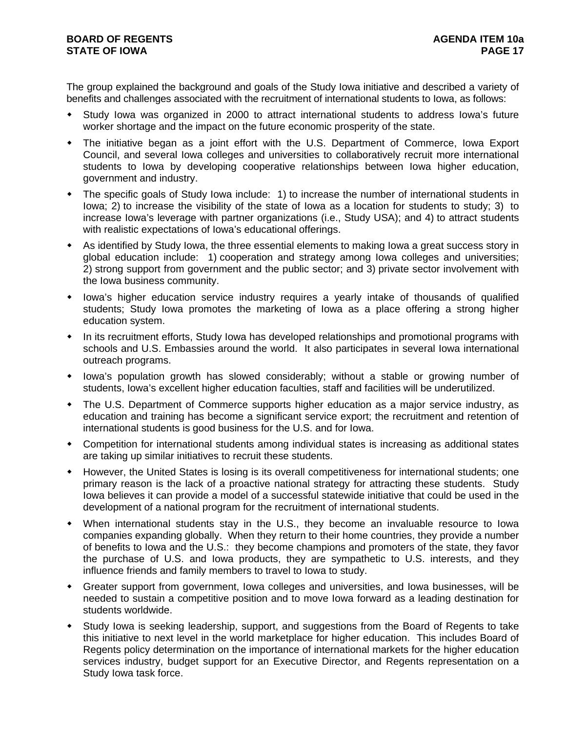The group explained the background and goals of the Study Iowa initiative and described a variety of benefits and challenges associated with the recruitment of international students to Iowa, as follows:

- Study Iowa was organized in 2000 to attract international students to address Iowa's future worker shortage and the impact on the future economic prosperity of the state.
- The initiative began as a joint effort with the U.S. Department of Commerce, Iowa Export Council, and several Iowa colleges and universities to collaboratively recruit more international students to Iowa by developing cooperative relationships between Iowa higher education, government and industry.
- The specific goals of Study Iowa include: 1) to increase the number of international students in Iowa; 2) to increase the visibility of the state of Iowa as a location for students to study; 3) to increase Iowa's leverage with partner organizations (i.e., Study USA); and 4) to attract students with realistic expectations of Iowa's educational offerings.
- As identified by Study Iowa, the three essential elements to making Iowa a great success story in global education include: 1) cooperation and strategy among Iowa colleges and universities; 2) strong support from government and the public sector; and 3) private sector involvement with the Iowa business community.
- Iowa's higher education service industry requires a yearly intake of thousands of qualified students; Study Iowa promotes the marketing of Iowa as a place offering a strong higher education system.
- In its recruitment efforts, Study Iowa has developed relationships and promotional programs with schools and U.S. Embassies around the world. It also participates in several Iowa international outreach programs.
- Iowa's population growth has slowed considerably; without a stable or growing number of students, Iowa's excellent higher education faculties, staff and facilities will be underutilized.
- The U.S. Department of Commerce supports higher education as a major service industry, as education and training has become a significant service export; the recruitment and retention of international students is good business for the U.S. and for Iowa.
- Competition for international students among individual states is increasing as additional states are taking up similar initiatives to recruit these students.
- However, the United States is losing is its overall competitiveness for international students; one primary reason is the lack of a proactive national strategy for attracting these students. Study Iowa believes it can provide a model of a successful statewide initiative that could be used in the development of a national program for the recruitment of international students.
- When international students stay in the U.S., they become an invaluable resource to Iowa companies expanding globally. When they return to their home countries, they provide a number of benefits to Iowa and the U.S.: they become champions and promoters of the state, they favor the purchase of U.S. and Iowa products, they are sympathetic to U.S. interests, and they influence friends and family members to travel to Iowa to study.
- Greater support from government, Iowa colleges and universities, and Iowa businesses, will be needed to sustain a competitive position and to move Iowa forward as a leading destination for students worldwide.
- Study Iowa is seeking leadership, support, and suggestions from the Board of Regents to take this initiative to next level in the world marketplace for higher education. This includes Board of Regents policy determination on the importance of international markets for the higher education services industry, budget support for an Executive Director, and Regents representation on a Study Iowa task force.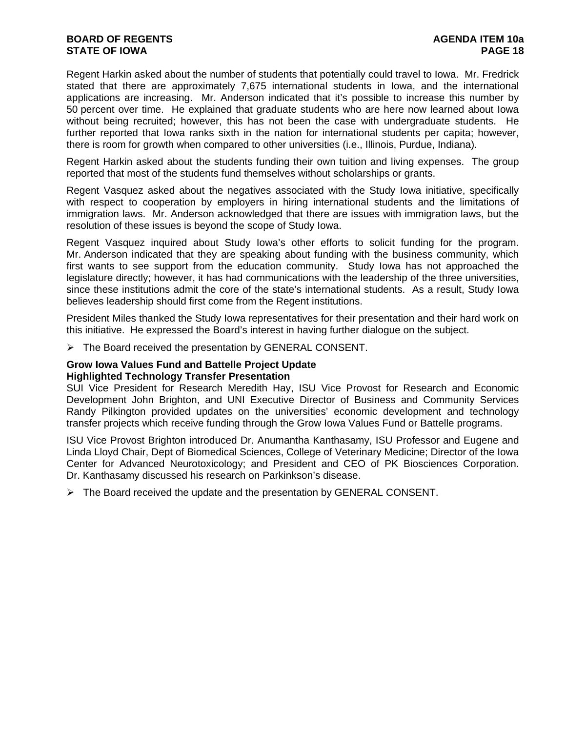# **BOARD OF REGENTS AGENUS AGENDA ITEM 10a STATE OF IOWA PAGE 18**

Regent Harkin asked about the number of students that potentially could travel to Iowa. Mr. Fredrick stated that there are approximately 7,675 international students in Iowa, and the international applications are increasing. Mr. Anderson indicated that it's possible to increase this number by 50 percent over time. He explained that graduate students who are here now learned about Iowa without being recruited; however, this has not been the case with undergraduate students. He further reported that Iowa ranks sixth in the nation for international students per capita; however, there is room for growth when compared to other universities (i.e., Illinois, Purdue, Indiana).

Regent Harkin asked about the students funding their own tuition and living expenses. The group reported that most of the students fund themselves without scholarships or grants.

Regent Vasquez asked about the negatives associated with the Study Iowa initiative, specifically with respect to cooperation by employers in hiring international students and the limitations of immigration laws. Mr. Anderson acknowledged that there are issues with immigration laws, but the resolution of these issues is beyond the scope of Study Iowa.

Regent Vasquez inquired about Study Iowa's other efforts to solicit funding for the program. Mr. Anderson indicated that they are speaking about funding with the business community, which first wants to see support from the education community. Study Iowa has not approached the legislature directly; however, it has had communications with the leadership of the three universities, since these institutions admit the core of the state's international students. As a result, Study Iowa believes leadership should first come from the Regent institutions.

President Miles thanked the Study Iowa representatives for their presentation and their hard work on this initiative. He expressed the Board's interest in having further dialogue on the subject.

 $\triangleright$  The Board received the presentation by GENERAL CONSENT.

## **Grow Iowa Values Fund and Battelle Project Update Highlighted Technology Transfer Presentation**

SUI Vice President for Research Meredith Hay, ISU Vice Provost for Research and Economic Development John Brighton, and UNI Executive Director of Business and Community Services Randy Pilkington provided updates on the universities' economic development and technology transfer projects which receive funding through the Grow Iowa Values Fund or Battelle programs.

ISU Vice Provost Brighton introduced Dr. Anumantha Kanthasamy, ISU Professor and Eugene and Linda Lloyd Chair, Dept of Biomedical Sciences, College of Veterinary Medicine; Director of the Iowa Center for Advanced Neurotoxicology; and President and CEO of PK Biosciences Corporation. Dr. Kanthasamy discussed his research on Parkinkson's disease.

 $\triangleright$  The Board received the update and the presentation by GENERAL CONSENT.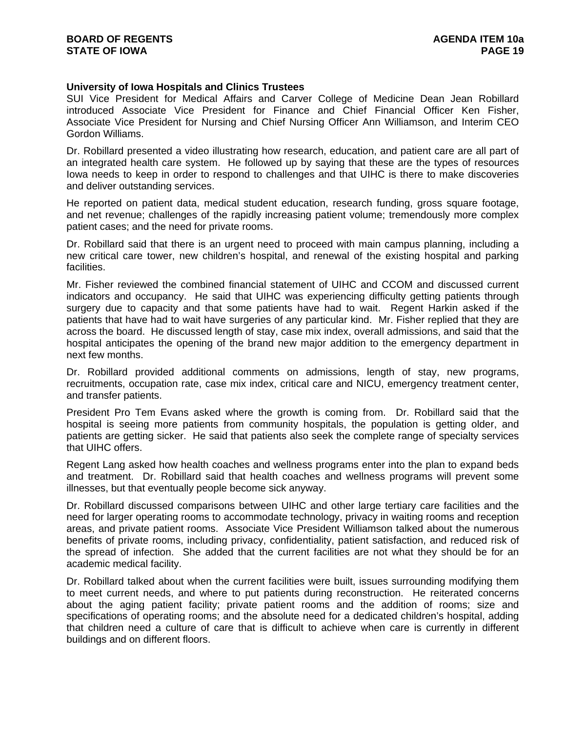## **University of Iowa Hospitals and Clinics Trustees**

SUI Vice President for Medical Affairs and Carver College of Medicine Dean Jean Robillard introduced Associate Vice President for Finance and Chief Financial Officer Ken Fisher, Associate Vice President for Nursing and Chief Nursing Officer Ann Williamson, and Interim CEO Gordon Williams.

Dr. Robillard presented a video illustrating how research, education, and patient care are all part of an integrated health care system. He followed up by saying that these are the types of resources Iowa needs to keep in order to respond to challenges and that UIHC is there to make discoveries and deliver outstanding services.

He reported on patient data, medical student education, research funding, gross square footage, and net revenue; challenges of the rapidly increasing patient volume; tremendously more complex patient cases; and the need for private rooms.

Dr. Robillard said that there is an urgent need to proceed with main campus planning, including a new critical care tower, new children's hospital, and renewal of the existing hospital and parking facilities.

Mr. Fisher reviewed the combined financial statement of UIHC and CCOM and discussed current indicators and occupancy. He said that UIHC was experiencing difficulty getting patients through surgery due to capacity and that some patients have had to wait. Regent Harkin asked if the patients that have had to wait have surgeries of any particular kind. Mr. Fisher replied that they are across the board. He discussed length of stay, case mix index, overall admissions, and said that the hospital anticipates the opening of the brand new major addition to the emergency department in next few months.

Dr. Robillard provided additional comments on admissions, length of stay, new programs, recruitments, occupation rate, case mix index, critical care and NICU, emergency treatment center, and transfer patients.

President Pro Tem Evans asked where the growth is coming from. Dr. Robillard said that the hospital is seeing more patients from community hospitals, the population is getting older, and patients are getting sicker. He said that patients also seek the complete range of specialty services that UIHC offers.

Regent Lang asked how health coaches and wellness programs enter into the plan to expand beds and treatment. Dr. Robillard said that health coaches and wellness programs will prevent some illnesses, but that eventually people become sick anyway.

Dr. Robillard discussed comparisons between UIHC and other large tertiary care facilities and the need for larger operating rooms to accommodate technology, privacy in waiting rooms and reception areas, and private patient rooms. Associate Vice President Williamson talked about the numerous benefits of private rooms, including privacy, confidentiality, patient satisfaction, and reduced risk of the spread of infection. She added that the current facilities are not what they should be for an academic medical facility.

Dr. Robillard talked about when the current facilities were built, issues surrounding modifying them to meet current needs, and where to put patients during reconstruction. He reiterated concerns about the aging patient facility; private patient rooms and the addition of rooms; size and specifications of operating rooms; and the absolute need for a dedicated children's hospital, adding that children need a culture of care that is difficult to achieve when care is currently in different buildings and on different floors.